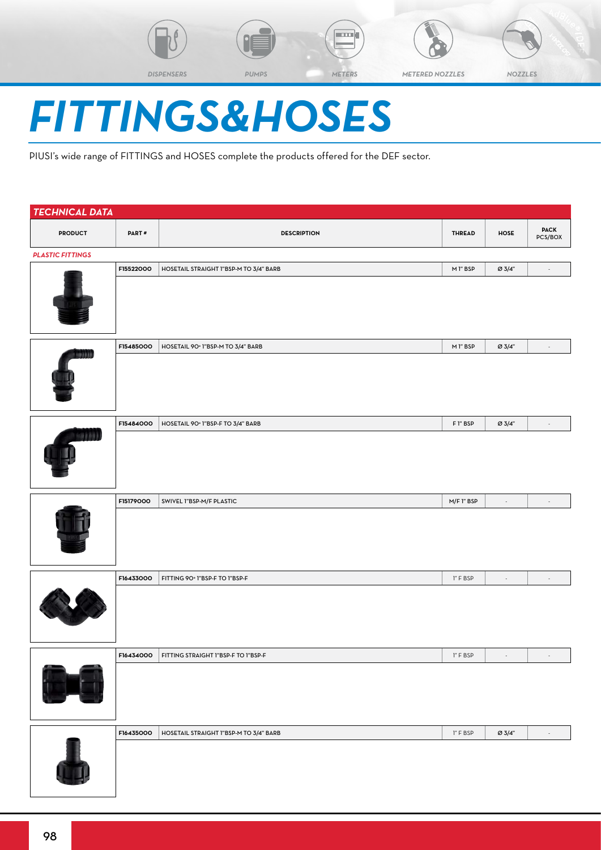







# *FITTINGS&HOSES*

PIUSI's wide range of FITTINGS and HOSES complete the products offered for the DEF sector.

| <b>TECHNICAL DATA</b>   |           |                                               |                                                     |                          |                          |
|-------------------------|-----------|-----------------------------------------------|-----------------------------------------------------|--------------------------|--------------------------|
| <b>PRODUCT</b>          | PART#     | <b>DESCRIPTION</b>                            | <b>THREAD</b>                                       | HOSE                     | <b>PACK</b><br>PCS/BOX   |
| <b>PLASTIC FITTINGS</b> |           |                                               |                                                     |                          |                          |
|                         | F15522000 | HOSETAIL STRAIGHT I"BSP-M TO 3/4" BARB        | M 1" BSP                                            | Ø 3/4"                   |                          |
|                         |           |                                               |                                                     |                          |                          |
|                         | F15485000 | HOSETAIL 90° 1"BSP-M TO 3/4" BARB             | M 1" BSP                                            | Ø 3/4"                   |                          |
|                         |           |                                               |                                                     |                          |                          |
|                         | F15484000 | HOSETAIL 90° 1"BSP-F TO 3/4" BARB             | F 1" BSP                                            | Ø 3/4"                   | $\overline{\phantom{a}}$ |
|                         |           |                                               |                                                     |                          |                          |
|                         | F15179000 | SWIVEL 1"BSP-M/F PLASTIC                      | M/F 1" BSP                                          | $\overline{\phantom{a}}$ |                          |
|                         |           |                                               |                                                     |                          |                          |
|                         | F16433000 | FITTING 90° 1"BSP-F TO 1"BSP-F                | 1" F BSP                                            | $\overline{\phantom{a}}$ |                          |
|                         |           |                                               |                                                     |                          |                          |
|                         |           | F16434000 FITTING STRAIGHT I"BSP-F TO I"BSP-F | $\mathsf{I}''\vDash \mathsf{B}\mathsf{S}\mathsf{P}$ | $\sim$                   | $\sim$                   |
|                         |           |                                               |                                                     |                          |                          |
|                         | F16435000 | HOSETAIL STRAIGHT I"BSP-M TO 3/4" BARB        | I" F BSP                                            | $\varnothing$ 3/4"       | $\overline{\phantom{a}}$ |
|                         |           |                                               |                                                     |                          |                          |